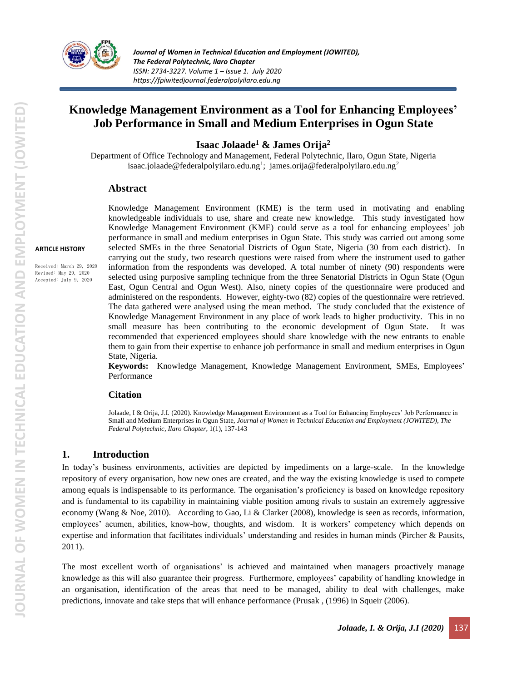

*Journal of Women in Technical Education and Employment (JOWITED), The Federal Polytechnic, Ilaro Chapter ISSN: 2734-3227. Volume 1 – Issue 1. July 2020 https://fpiwitedjournal.federalpolyilaro.edu.ng*

# **Knowledge Management Environment as a Tool for Enhancing Employees' Job Performance in Small and Medium Enterprises in Ogun State**

**Isaac Jolaade<sup>1</sup> & James Orija<sup>2</sup>**

Department of Office Technology and Management, Federal Polytechnic, Ilaro, Ogun State, Nigeria [isaac.jolaade@federalpolyilaro.edu.ng](mailto:isaac.jolaade@federalpolyilaro.edu.ng)<sup>1</sup>; [james.orija@federalpolyilaro.edu.ng](mailto:james.orija@federalpolyilaro.edu.ng)<sup>2</sup>

### **Abstract**

#### **ARTICLE HISTORY**

Received: March 29, 2020 Revised: May 29, 2020 Accepted: July 9, 2020

Knowledge Management Environment (KME) is the term used in motivating and enabling knowledgeable individuals to use, share and create new knowledge. This study investigated how Knowledge Management Environment (KME) could serve as a tool for enhancing employees' job performance in small and medium enterprises in Ogun State. This study was carried out among some selected SMEs in the three Senatorial Districts of Ogun State, Nigeria (30 from each district). In carrying out the study, two research questions were raised from where the instrument used to gather information from the respondents was developed. A total number of ninety (90) respondents were selected using purposive sampling technique from the three Senatorial Districts in Ogun State (Ogun East, Ogun Central and Ogun West). Also, ninety copies of the questionnaire were produced and administered on the respondents. However, eighty-two (82) copies of the questionnaire were retrieved. The data gathered were analysed using the mean method. The study concluded that the existence of Knowledge Management Environment in any place of work leads to higher productivity. This in no small measure has been contributing to the economic development of Ogun State. It was recommended that experienced employees should share knowledge with the new entrants to enable them to gain from their expertise to enhance job performance in small and medium enterprises in Ogun State, Nigeria.

**Keywords:** Knowledge Management, Knowledge Management Environment, SMEs, Employees' Performance

### **Citation**

Jolaade, I & Orija, J.I. (2020). Knowledge Management Environment as a Tool for Enhancing Employees' Job Performance in Small and Medium Enterprises in Ogun State, *Journal of Women in Technical Education and Employment (JOWITED), The Federal Polytechnic, Ilaro Chapter*, 1(1), 137-143

### **1. Introduction**

In today's business environments, activities are depicted by impediments on a large-scale. In the knowledge repository of every organisation, how new ones are created, and the way the existing knowledge is used to compete among equals is indispensable to its performance. The organisation's proficiency is based on knowledge repository and is fundamental to its capability in maintaining viable position among rivals to sustain an extremely aggressive economy (Wang & Noe, 2010). According to Gao, Li & Clarker (2008), knowledge is seen as records, information, employees' acumen, abilities, know-how, thoughts, and wisdom. It is workers' competency which depends on expertise and information that facilitates individuals' understanding and resides in human minds (Pircher & Pausits, 2011).

The most excellent worth of organisations' is achieved and maintained when managers proactively manage knowledge as this will also guarantee their progress. Furthermore, employees' capability of handling knowledge in an organisation, identification of the areas that need to be managed, ability to deal with challenges, make predictions, innovate and take steps that will enhance performance (Prusak , (1996) in Squeir (2006).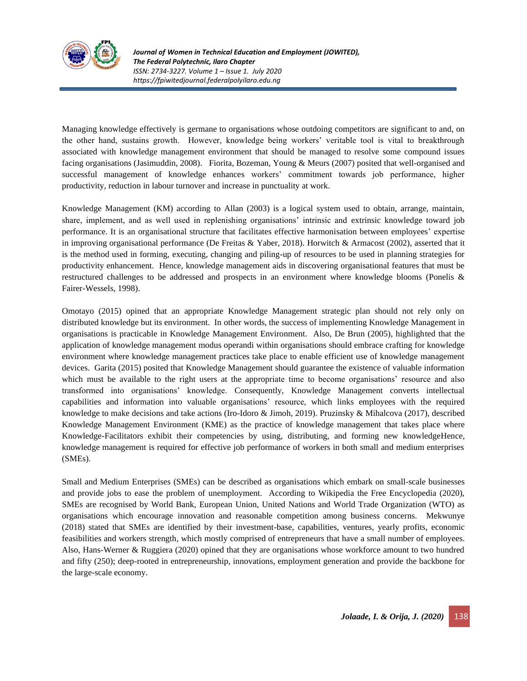

Managing knowledge effectively is germane to organisations whose outdoing competitors are significant to and, on the other hand, sustains growth. However, knowledge being workers' veritable tool is vital to breakthrough associated with knowledge management environment that should be managed to resolve some compound issues facing organisations (Jasimuddin, 2008). Fiorita, Bozeman, Young & Meurs (2007) posited that well-organised and successful management of knowledge enhances workers' commitment towards job performance, higher productivity, reduction in labour turnover and increase in punctuality at work.

Knowledge Management (KM) according to Allan (2003) is a logical system used to obtain, arrange, maintain, share, implement, and as well used in replenishing organisations' intrinsic and extrinsic knowledge toward job performance. It is an organisational structure that facilitates effective harmonisation between employees' expertise in improving organisational performance (De Freitas & Yaber, 2018). Horwitch & Armacost (2002), asserted that it is the method used in forming, executing, changing and piling-up of resources to be used in planning strategies for productivity enhancement. Hence, knowledge management aids in discovering organisational features that must be restructured challenges to be addressed and prospects in an environment where knowledge blooms (Ponelis & Fairer-Wessels, 1998).

Omotayo (2015) opined that an appropriate Knowledge Management strategic plan should not rely only on distributed knowledge but its environment. In other words, the success of implementing Knowledge Management in organisations is practicable in Knowledge Management Environment. Also, De Brun (2005), highlighted that the application of knowledge management modus operandi within organisations should embrace crafting for knowledge environment where knowledge management practices take place to enable efficient use of knowledge management devices. Garita (2015) posited that Knowledge Management should guarantee the existence of valuable information which must be available to the right users at the appropriate time to become organisations' resource and also transformed into organisations' knowledge. Consequently, Knowledge Management converts intellectual capabilities and information into valuable organisations' resource, which links employees with the required knowledge to make decisions and take actions (Iro-Idoro & Jimoh, 2019). Pruzinsky & Mihalcova (2017), described Knowledge Management Environment (KME) as the practice of knowledge management that takes place where Knowledge-Facilitators exhibit their competencies by using, distributing, and forming new knowledgeHence, knowledge management is required for effective job performance of workers in both small and medium enterprises (SMEs).

Small and Medium Enterprises (SMEs) can be described as organisations which embark on small-scale businesses and provide jobs to ease the problem of unemployment. According to Wikipedia the Free Encyclopedia (2020), SMEs are recognised by World Bank, European Union, United Nations and World Trade Organization (WTO) as organisations which encourage innovation and reasonable competition among business concerns. Mekwunye (2018) stated that SMEs are identified by their investment-base, capabilities, ventures, yearly profits, economic feasibilities and workers strength, which mostly comprised of entrepreneurs that have a small number of employees. Also, Hans-Werner & Ruggiera (2020) opined that they are organisations whose workforce amount to two hundred and fifty (250); deep-rooted in entrepreneurship, innovations, employment generation and provide the backbone for the large-scale economy.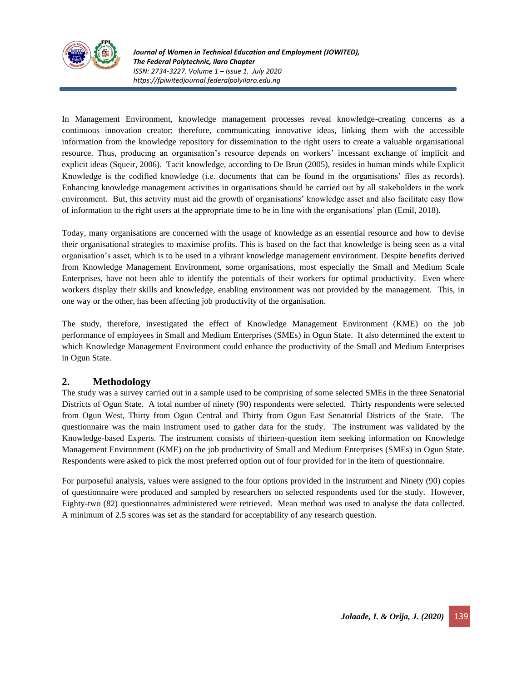

In Management Environment, knowledge management processes reveal knowledge-creating concerns as a continuous innovation creator; therefore, communicating innovative ideas, linking them with the accessible information from the knowledge repository for dissemination to the right users to create a valuable organisational resource. Thus, producing an organisation's resource depends on workers' incessant exchange of implicit and explicit ideas (Squeir, 2006). Tacit knowledge, according to De Brun (2005), resides in human minds while Explicit Knowledge is the codified knowledge (i.e. documents that can be found in the organisations' files as records). Enhancing knowledge management activities in organisations should be carried out by all stakeholders in the work environment. But, this activity must aid the growth of organisations' knowledge asset and also facilitate easy flow of information to the right users at the appropriate time to be in line with the organisations' plan (Emil, 2018).

Today, many organisations are concerned with the usage of knowledge as an essential resource and how to devise their organisational strategies to maximise profits. This is based on the fact that knowledge is being seen as a vital organisation's asset, which is to be used in a vibrant knowledge management environment. Despite benefits derived from Knowledge Management Environment, some organisations, most especially the Small and Medium Scale Enterprises, have not been able to identify the potentials of their workers for optimal productivity. Even where workers display their skills and knowledge, enabling environment was not provided by the management. This, in one way or the other, has been affecting job productivity of the organisation.

The study, therefore, investigated the effect of Knowledge Management Environment (KME) on the job performance of employees in Small and Medium Enterprises (SMEs) in Ogun State. It also determined the extent to which Knowledge Management Environment could enhance the productivity of the Small and Medium Enterprises in Ogun State.

### **2. Methodology**

The study was a survey carried out in a sample used to be comprising of some selected SMEs in the three Senatorial Districts of Ogun State. A total number of ninety (90) respondents were selected. Thirty respondents were selected from Ogun West, Thirty from Ogun Central and Thirty from Ogun East Senatorial Districts of the State. The questionnaire was the main instrument used to gather data for the study. The instrument was validated by the Knowledge-based Experts. The instrument consists of thirteen-question item seeking information on Knowledge Management Environment (KME) on the job productivity of Small and Medium Enterprises (SMEs) in Ogun State. Respondents were asked to pick the most preferred option out of four provided for in the item of questionnaire.

For purposeful analysis, values were assigned to the four options provided in the instrument and Ninety (90) copies of questionnaire were produced and sampled by researchers on selected respondents used for the study. However, Eighty-two (82) questionnaires administered were retrieved. Mean method was used to analyse the data collected. A minimum of 2.5 scores was set as the standard for acceptability of any research question.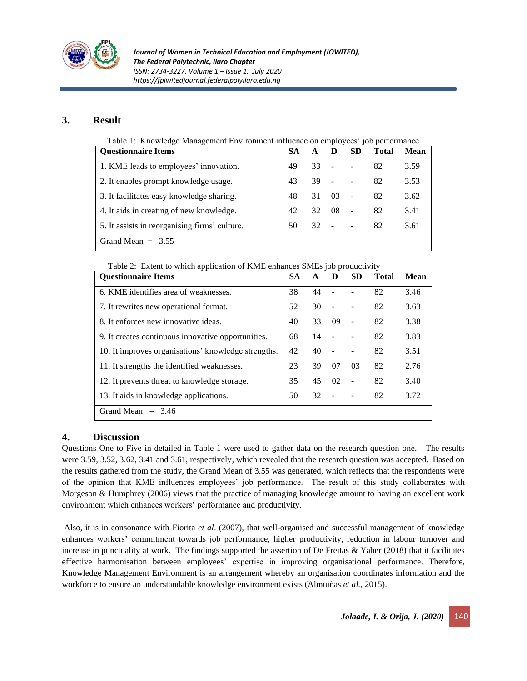

# **3. Result**

| Table 1: Knowledge Management Environment influence on employees' job performance |  |  |
|-----------------------------------------------------------------------------------|--|--|
|                                                                                   |  |  |

| <b>Ouestionnaire Items</b>                    |    | A  | Ð                        | <b>SD</b>                | Total | <b>Mean</b> |
|-----------------------------------------------|----|----|--------------------------|--------------------------|-------|-------------|
| 1. KME leads to employees' innovation.        | 49 | 33 |                          |                          | 82    | 3.59        |
| 2. It enables prompt knowledge usage.         | 43 | 39 | $\overline{\phantom{a}}$ |                          | 82    | 3.53        |
| 3. It facilitates easy knowledge sharing.     | 48 | 31 | 03                       | $\sim$                   | 82    | 3.62        |
| 4. It aids in creating of new knowledge.      |    | 32 | 08                       | $\overline{\phantom{a}}$ | 82    | 3.41        |
| 5. It assists in reorganising firms' culture. | 50 | 32 | $\sim$                   |                          | 82    | 3.61        |
| Grand Mean $=$ 3.55                           |    |    |                          |                          |       |             |

Table 2: Extent to which application of KME enhances SMEs job productivity

| <b>Questionnaire Items</b>                          |    | $\mathbf A$ | D              | <b>SD</b> | <b>Total</b> | Mean |
|-----------------------------------------------------|----|-------------|----------------|-----------|--------------|------|
| 6. KME identifies area of weaknesses.               |    | 44          |                |           | 82           | 3.46 |
| 7. It rewrites new operational format.              |    | 30          | $\overline{a}$ |           | 82           | 3.63 |
| 8. It enforces new innovative ideas.                |    | 33          | 09             | ÷,        | 82           | 3.38 |
| 9. It creates continuous innovative opportunities.  |    | 14          | $\overline{a}$ |           | 82           | 3.83 |
| 10. It improves organisations' knowledge strengths. |    | 40          |                |           | 82           | 3.51 |
| 11. It strengths the identified weaknesses.         |    | 39          | 07             | 03        | 82           | 2.76 |
| 12. It prevents threat to knowledge storage.        | 35 | 45          | 02             |           | 82           | 3.40 |
| 13. It aids in knowledge applications.              |    | 32          |                |           | 82           | 3.72 |
| Grand Mean<br>$= 3.46$                              |    |             |                |           |              |      |

# **4. Discussion**

Questions One to Five in detailed in Table 1 were used to gather data on the research question one. The results were 3.59, 3.52, 3.62, 3.41 and 3.61, respectively, which revealed that the research question was accepted. Based on the results gathered from the study, the Grand Mean of 3.55 was generated, which reflects that the respondents were of the opinion that KME influences employees' job performance. The result of this study collaborates with Morgeson & Humphrey (2006) views that the practice of managing knowledge amount to having an excellent work environment which enhances workers' performance and productivity.

Also, it is in consonance with Fiorita *et al*. (2007), that well-organised and successful management of knowledge enhances workers' commitment towards job performance, higher productivity, reduction in labour turnover and increase in punctuality at work. The findings supported the assertion of De Freitas & Yaber (2018) that it facilitates effective harmonisation between employees' expertise in improving organisational performance. Therefore, Knowledge Management Environment is an arrangement whereby an organisation coordinates information and the workforce to ensure an understandable knowledge environment exists (Almuiñas *et al.,* 2015).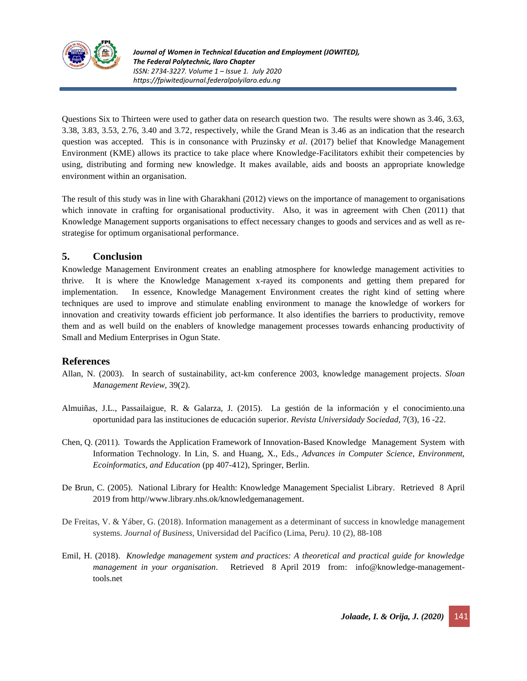

Questions Six to Thirteen were used to gather data on research question two. The results were shown as 3.46, 3.63, 3.38, 3.83, 3.53, 2.76, 3.40 and 3.72, respectively, while the Grand Mean is 3.46 as an indication that the research question was accepted. This is in consonance with Pruzinsky *et al*. (2017) belief that Knowledge Management Environment (KME) allows its practice to take place where Knowledge-Facilitators exhibit their competencies by using, distributing and forming new knowledge. It makes available, aids and boosts an appropriate knowledge environment within an organisation.

The result of this study was in line with Gharakhani (2012) views on the importance of management to organisations which innovate in crafting for organisational productivity. Also, it was in agreement with Chen (2011) that Knowledge Management supports organisations to effect necessary changes to goods and services and as well as restrategise for optimum organisational performance.

## **5. Conclusion**

Knowledge Management Environment creates an enabling atmosphere for knowledge management activities to thrive. It is where the Knowledge Management x-rayed its components and getting them prepared for implementation. In essence, Knowledge Management Environment creates the right kind of setting where techniques are used to improve and stimulate enabling environment to manage the knowledge of workers for innovation and creativity towards efficient job performance. It also identifies the barriers to productivity, remove them and as well build on the enablers of knowledge management processes towards enhancing productivity of Small and Medium Enterprises in Ogun State.

### **References**

- Allan, N. (2003). In search of sustainability, act-km conference 2003, knowledge management projects. *Sloan Management Review,* 39(2).
- Almuiñas, J.L., Passailaigue, R. & Galarza, J. (2015). La gestión de la información y el conocimiento.una oportunidad para las instituciones de educación superior. *Revista Universidady Sociedad,* 7(3), 16 -22.
- Chen, Q. (2011). Towards the Application Framework of Innovation-Based Knowledge Management System with Information Technology. In Lin, S. and Huang, X., Eds., *Advances in Computer Science, Environment, Ecoinformatics, and Education* (pp 407-412), Springer, Berlin.
- De Brun, C. (2005). National Library for Health: Knowledge Management Specialist Library. Retrieved 8 April 2019 from http//www.library.nhs.ok/knowledgemanagement.
- De Freitas, V. & Yáber, G. (2018). Information management as a determinant of success in knowledge management systems. *Journal of Business,* Universidad del Pacífico (Lima, Peru*)*. 10 (2), 88-108
- Emil, H. (2018). *Knowledge management system and practices: A theoretical and practical guide for knowledge management in your organisation*. Retrieved 8 April 2019 from: [info@knowledge-management](mailto:info@knowledge-management-tools.net)[tools.net](mailto:info@knowledge-management-tools.net)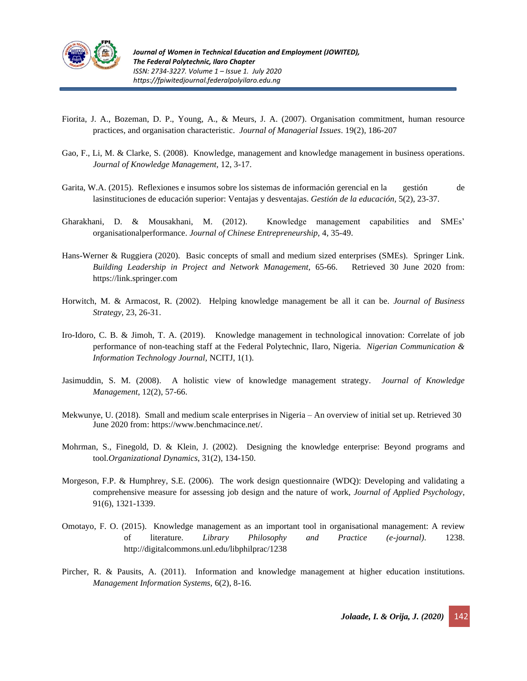

- Fiorita, J. A., Bozeman, D. P., Young, A., & Meurs, J. A. (2007). Organisation commitment, human resource practices, and organisation characteristic. *Journal of Managerial Issues*. 19(2), 186-207
- Gao, F., Li, M. & Clarke, S. (2008). Knowledge, management and knowledge management in business operations. *Journal of Knowledge Management,* 12, 3-17.
- Garita, W.A. (2015). Reflexiones e insumos sobre los sistemas de información gerencial en la gestión de lasinstituciones de educación superior: Ventajas y desventajas. *Gestión de la educación,* 5(2), 23-37.
- Gharakhani, D. & Mousakhani, M. (2012). Knowledge management capabilities and SMEs' organisationalperformance. *Journal of Chinese Entrepreneurship,* 4, 35-49.
- Hans-Werner & Ruggiera (2020). Basic concepts of small and medium sized enterprises (SMEs). Springer Link. *Building Leadership in Project and Network Management,* 65-66. Retrieved 30 June 2020 from: https://link.springer.com
- Horwitch, M. & Armacost, R. (2002). Helping knowledge management be all it can be. *Journal of Business Strategy,* 23, 26-31.
- Iro-Idoro, C. B. & Jimoh, T. A. (2019). Knowledge management in technological innovation: Correlate of job performance of non-teaching staff at the Federal Polytechnic, Ilaro, Nigeria. *Nigerian Communication & Information Technology Journal,* NCITJ, 1(1).
- Jasimuddin, S. M. (2008). A holistic view of knowledge management strategy. *Journal of Knowledge Management*, 12(2), 57-66.
- Mekwunye, U. (2018).Small and medium scale enterprises in Nigeria An overview of initial set up. Retrieved 30 June 2020 from: https://www.benchmacince.net/.
- Mohrman, S., Finegold, D. & Klein, J. (2002). Designing the knowledge enterprise: Beyond programs and tool.*Organizational Dynamics*, 31(2), 134-150.
- Morgeson, F.P. & Humphrey, S.E. (2006). The work design questionnaire (WDQ): Developing and validating a comprehensive measure for assessing job design and the nature of work, *Journal of Applied Psychology*, 91(6), 1321-1339.
- Omotayo, F. O. (2015). Knowledge management as an important tool in organisational management: A review of literature. *Library Philosophy and Practice (e-journal)*. 1238. http://digitalcommons.unl.edu/libphilprac/1238
- Pircher, R. & Pausits, A. (2011). Information and knowledge management at higher education institutions. *Management Information Systems,* 6(2), 8-16.